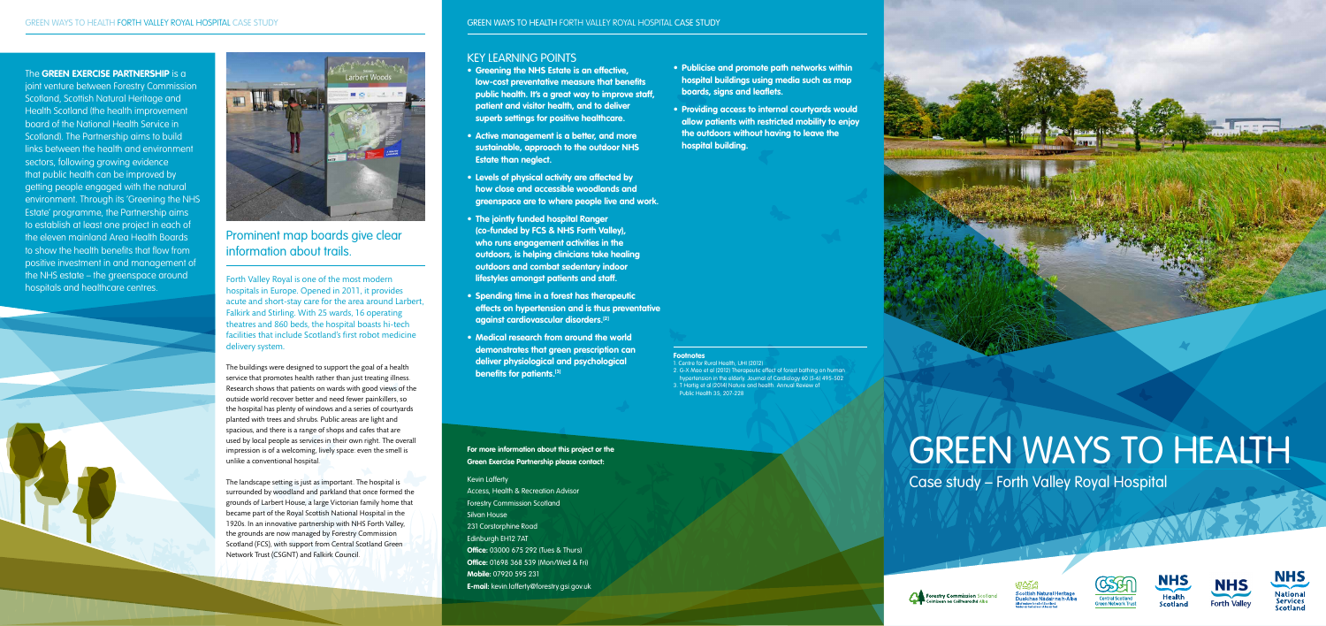## Prominent map boards give clear information about trails.

# GREEN WAYS TO HEALTH

Case study – Forth Valley Royal Hospital













Forth Valley Royal is one of the most modern hospitals in Europe. Opened in 2011, it provides acute and short-stay care for the area around Larbert, Falkirk and Stirling. With 25 wards, 16 operating theatres and 860 beds, the hospital boasts hi-tech facilities that include Scotland's first robot medicine delivery system.

The buildings were designed to support the goal of a health service that promotes health rather than just treating illness. Research shows that patients on wards with good views of the outside world recover better and need fewer painkillers, so the hospital has plenty of windows and a series of courtyards planted with trees and shrubs. Public areas are light and spacious, and there is a range of shops and cafes that are used by local people as services in their own right. The overall impression is of a welcoming, lively space: even the smell is unlike a conventional hospital.

The landscape setting is just as important. The hospital is surrounded by woodland and parkland that once formed the grounds of Larbert House, a large Victorian family home that became part of the Royal Scottish National Hospital in the 1920s. In an innovative partnership with NHS Forth Valley, the grounds are now managed by Forestry Commission Scotland (FCS), with support from Central Scotland Green Network Trust (CSGNT) and Falkirk Council.

**For more information about this project or the Green Exercise Partnership please contact:**

#### Kevin Lafferty

Access, Health & Recreation Advisor Forestry Commission Scotland Silvan House 231 Corstorphine Road Edinburgh EH12 7AT **Office:** 03000 675 292 (Tues & Thurs) **Office:** 01698 368 539 (Mon/Wed & Fri) **Mobile:** 07920 595 231 **E-mail:** kevin.lafferty@forestry.gsi.gov.uk

#### The **GREEN EXERCISE PARTNERSHIP** is a

joint venture between Forestry Commission Scotland, Scottish Natural Heritage and Health Scotland (the health improvement board of the National Health Service in Scotland). The Partnership aims to build links between the health and environment sectors, following growing evidence that public health can be improved by getting people engaged with the natural environment. Through its 'Greening the NHS Estate' programme, the Partnership aims to establish at least one project in each of the eleven mainland Area Health Boards to show the health benefits that flow from positive investment in and management of the NHS estate – the greenspace around hospitals and healthcare centres.





## KEY LEARNING POINTS

- **Greening the NHS Estate is an effective, low-cost preventative measure that benefits public health. It's a great way to improve staff, patient and visitor health, and to deliver superb settings for positive healthcare.**
- **Active management is a better, and more sustainable, approach to the outdoor NHS Estate than neglect.**
- **Levels of physical activity are affected by how close and accessible woodlands and greenspace are to where people live and work.**
- **The jointly funded hospital Ranger (co-funded by FCS & NHS Forth Valley), who runs engagement activities in the outdoors, is helping clinicians take healing outdoors and combat sedentary indoor lifestyles amongst patients and staff.**
- **Spending time in a forest has therapeutic effects on hypertension and is thus preventative against cardiovascular disorders.[2]**
- **Medical research from around the world demonstrates that green prescription can deliver physiological and psychological benefits for patients.[3]**
- **Publicise and promote path networks within hospital buildings using media such as map boards, signs and leaflets.**
- **Providing access to internal courtyards would allow patients with restricted mobility to enjoy the outdoors without having to leave the hospital building.**



#### **Footnotes**

- 1. Centre for Rural Health, UHI (2012)
- 2. G-X Mao et al (2012) Therapeutic effect of forest bathing on human hypertension in the elderly. Journal of Cardiology 60 (5-6) 495-502
- 3. T Hartig et al (2014) Nature and health. Annual Review of Public Health 35, 207-228